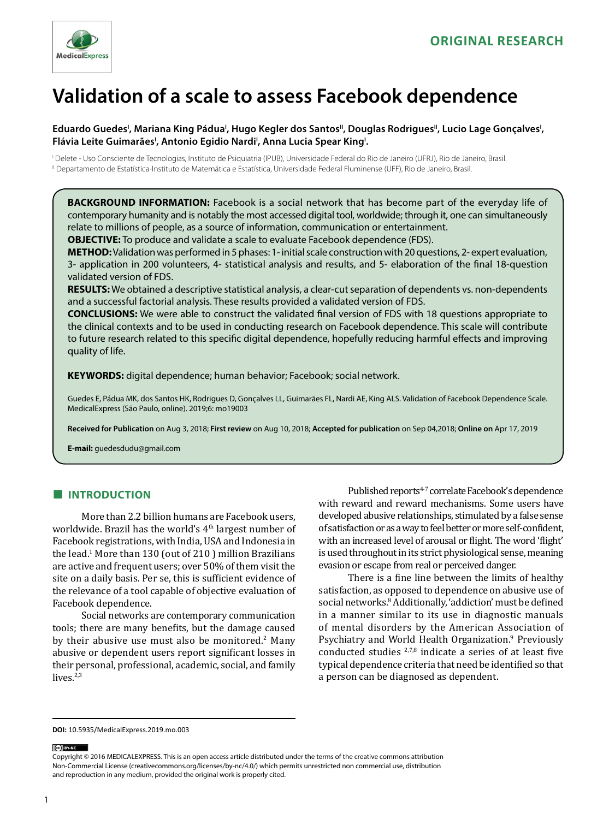

# **Validation of a scale to assess Facebook dependence**

# Eduardo Guedes<sup>i</sup>, Mariana King Pádua<sup>i</sup>, Hugo Kegler dos Santos", Douglas Rodrigues", Lucio Lage Gonçalves', Flávia Leite Guimarães<sup>i</sup>, Antonio Egidio Nardi<sup>i</sup>, Anna Lucia Spear King<sup>i</sup>.

I Delete - Uso Consciente de Tecnologias, Instituto de Psiquiatria (IPUB), Universidade Federal do Rio de Janeiro (UFRJ), Rio de Janeiro, Brasil. II Departamento de Estatística-Instituto de Matemática e Estatística, Universidade Federal Fluminense (UFF), Rio de Janeiro, Brasil.

**BACKGROUND INFORMATION:** Facebook is a social network that has become part of the everyday life of contemporary humanity and is notably the most accessed digital tool, worldwide; through it, one can simultaneously relate to millions of people, as a source of information, communication or entertainment.

**OBJECTIVE:** To produce and validate a scale to evaluate Facebook dependence (FDS).

**METHOD:** Validation was performed in 5 phases: 1- initial scale construction with 20 questions, 2- expert evaluation, 3- application in 200 volunteers, 4- statistical analysis and results, and 5- elaboration of the final 18-question validated version of FDS.

**RESULTS:** We obtained a descriptive statistical analysis, a clear-cut separation of dependents vs. non-dependents and a successful factorial analysis. These results provided a validated version of FDS.

**CONCLUSIONS:** We were able to construct the validated final version of FDS with 18 questions appropriate to the clinical contexts and to be used in conducting research on Facebook dependence. This scale will contribute to future research related to this specific digital dependence, hopefully reducing harmful effects and improving quality of life.

**KEYWORDS:** digital dependence; human behavior; Facebook; social network.

Guedes E, Pádua MK, dos Santos HK, Rodrigues D, Gonçalves LL, Guimarães FL, Nardi AE, King ALS. Validation of Facebook Dependence Scale. MedicalExpress (São Paulo, online). 2019;6: mo19003

**Received for Publication** on Aug 3, 2018; **First review** on Aug 10, 2018; **Accepted for publication** on Sep 04,2018; **Online on** Apr 17, 2019

**E-mail:** guedesdudu@gmail.com

# **■ INTRODUCTION**

More than 2.2 billion humans are Facebook users, worldwide. Brazil has the world's 4<sup>th</sup> largest number of Facebook registrations, with India, USA and Indonesia in the lead.<sup>1</sup> More than 130 (out of 210 ) million Brazilians are active and frequent users; over 50% of them visit the site on a daily basis. Per se, this is sufficient evidence of the relevance of a tool capable of objective evaluation of Facebook dependence.

Social networks are contemporary communication tools; there are many benefits, but the damage caused by their abusive use must also be monitored.<sup>2</sup> Many abusive or dependent users report significant losses in their personal, professional, academic, social, and family lives.<sup>2,3</sup>

Published reports<sup>4-7</sup> correlate Facebook's dependence with reward and reward mechanisms. Some users have developed abusive relationships, stimulated by a false sense of satisfaction or as a way to feel better or more self-confident, with an increased level of arousal or flight. The word 'flight' is used throughout in its strict physiological sense, meaning evasion or escape from real or perceived danger.

There is a fine line between the limits of healthy satisfaction, as opposed to dependence on abusive use of social networks.8 Additionally, 'addiction' must be defined in a manner similar to its use in diagnostic manuals of mental disorders by the American Association of Psychiatry and World Health Organization.<sup>9</sup> Previously conducted studies  $2,7,8$  indicate a series of at least five typical dependence criteria that need be identified so that a person can be diagnosed as dependent.

(ce) BY-NC

Copyright © 2016 MEDICALEXPRESS. This is an open access article distributed under the terms of the creative commons attribution Non-Commercial License [\(creativecommons.org/licenses/by-nc/4.0/\)](http://creativecommons.org/licenses/by-nc/3.0/) which permits unrestricted non commercial use, distribution and reproduction in any medium, provided the original work is properly cited.

**DOI:** 10.5935/MedicalExpress.2019.mo.003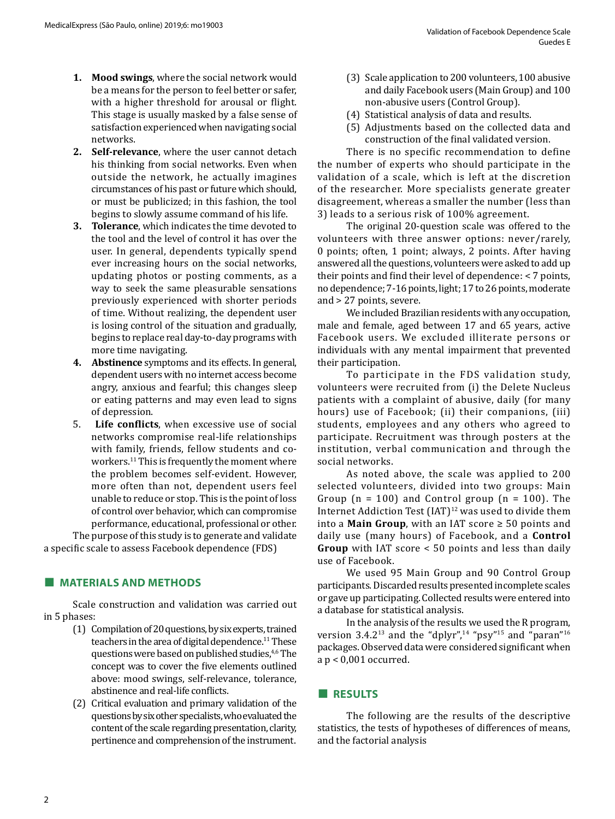- **1. Mood swings**, where the social network would be a means for the person to feel better or safer, with a higher threshold for arousal or flight. This stage is usually masked by a false sense of satisfaction experienced when navigating social networks.
- **2. Self-relevance**, where the user cannot detach his thinking from social networks. Even when outside the network, he actually imagines circumstances of his past or future which should, or must be publicized; in this fashion, the tool begins to slowly assume command of his life.
- **3. Tolerance**, which indicates the time devoted to the tool and the level of control it has over the user. In general, dependents typically spend ever increasing hours on the social networks, updating photos or posting comments, as a way to seek the same pleasurable sensations previously experienced with shorter periods of time. Without realizing, the dependent user is losing control of the situation and gradually, begins to replace real day-to-day programs with more time navigating.
- **4. Abstinence** symptoms and its effects. In general, dependent users with no internet access become angry, anxious and fearful; this changes sleep or eating patterns and may even lead to signs of depression.
- 5. **Life conflicts**, when excessive use of social networks compromise real-life relationships with family, friends, fellow students and coworkers.<sup>11</sup> This is frequently the moment where the problem becomes self-evident. However, more often than not, dependent users feel unable to reduce or stop. This is the point of loss of control over behavior, which can compromise performance, educational, professional or other.

The purpose of this study is to generate and validate a specific scale to assess Facebook dependence (FDS)

# **■ MATERIALS AND METHODS**

Scale construction and validation was carried out in 5 phases:

- (1) Compilation of 20 questions, by six experts, trained teachers in the area of digital dependence.<sup>11</sup> These questions were based on published studies,<sup>4,6</sup> The concept was to cover the five elements outlined above: mood swings, self-relevance, tolerance, abstinence and real-life conflicts.
- (2) Critical evaluation and primary validation of the questions by six other specialists, who evaluated the content of the scale regarding presentation, clarity, pertinence and comprehension of the instrument.
- (3) Scale application to 200 volunteers, 100 abusive and daily Facebook users (Main Group) and 100 non-abusive users (Control Group).
- (4) Statistical analysis of data and results.
- (5) Adjustments based on the collected data and construction of the final validated version.

There is no specific recommendation to define the number of experts who should participate in the validation of a scale, which is left at the discretion of the researcher. More specialists generate greater disagreement, whereas a smaller the number (less than 3) leads to a serious risk of 100% agreement.

The original 20-question scale was offered to the volunteers with three answer options: never/rarely, 0 points; often, 1 point; always, 2 points. After having answered all the questions, volunteers were asked to add up their points and find their level of dependence: < 7 points, no dependence; 7-16 points, light; 17 to 26 points, moderate and > 27 points, severe.

We included Brazilian residents with any occupation, male and female, aged between 17 and 65 years, active Facebook users. We excluded illiterate persons or individuals with any mental impairment that prevented their participation.

To participate in the FDS validation study, volunteers were recruited from (i) the Delete Nucleus patients with a complaint of abusive, daily (for many hours) use of Facebook; (ii) their companions, (iii) students, employees and any others who agreed to participate. Recruitment was through posters at the institution, verbal communication and through the social networks.

As noted above, the scale was applied to 200 selected volunteers, divided into two groups: Main Group  $(n = 100)$  and Control group  $(n = 100)$ . The Internet Addiction Test (IAT)<sup>12</sup> was used to divide them into a **Main Group**, with an IAT score  $\geq 50$  points and daily use (many hours) of Facebook, and a **Control Group** with IAT score < 50 points and less than daily use of Facebook.

We used 95 Main Group and 90 Control Group participants. Discarded results presented incomplete scales or gave up participating. Collected results were entered into a database for statistical analysis.

In the analysis of the results we used the R program, version 3.4.2<sup>13</sup> and the "dplyr",<sup>14</sup> "psy"<sup>15</sup> and "paran"<sup>16</sup> packages. Observed data were considered significant when a p < 0,001 occurred.

# **■ RESULTS**

The following are the results of the descriptive statistics, the tests of hypotheses of differences of means, and the factorial analysis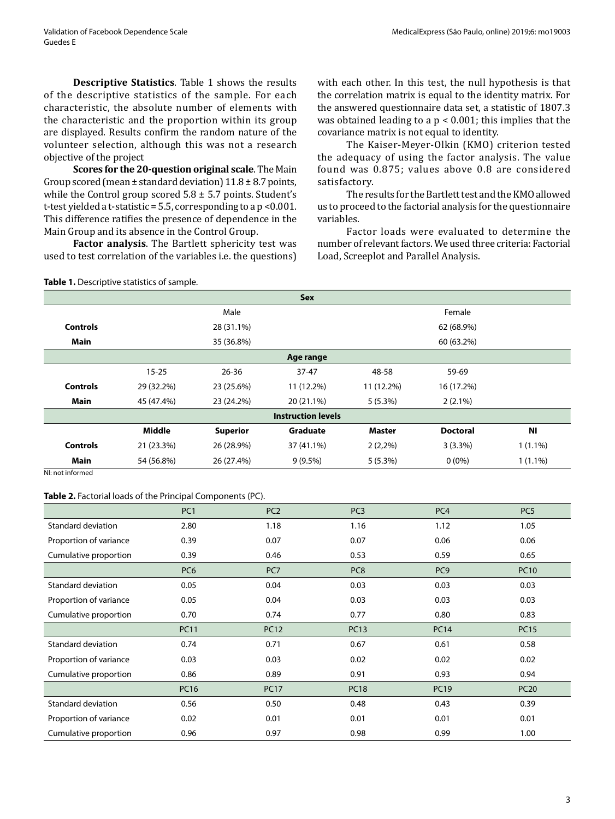**Descriptive Statistics**. Table 1 shows the results of the descriptive statistics of the sample. For each characteristic, the absolute number of elements with the characteristic and the proportion within its group are displayed. Results confirm the random nature of the volunteer selection, although this was not a research objective of the project

**Scores for the 20-question original scale**. The Main Group scored (mean  $\pm$  standard deviation)  $11.8 \pm 8.7$  points, while the Control group scored 5.8 ± 5.7 points. Student's t-test yielded a t-statistic = 5.5, corresponding to a p <0.001. This difference ratifies the presence of dependence in the Main Group and its absence in the Control Group.

**Factor analysis**. The Bartlett sphericity test was used to test correlation of the variables i.e. the questions) with each other. In this test, the null hypothesis is that the correlation matrix is equal to the identity matrix. For the answered questionnaire data set, a statistic of 1807.3 was obtained leading to a p < 0.001; this implies that the covariance matrix is not equal to identity.

The Kaiser-Meyer-Olkin (KMO) criterion tested the adequacy of using the factor analysis. The value found was 0.875; values above 0.8 are considered satisfactory.

The results for the Bartlett test and the KMO allowed us to proceed to the factorial analysis for the questionnaire variables.

Factor loads were evaluated to determine the number of relevant factors. We used three criteria: Factorial Load, Screeplot and Parallel Analysis.

**Table 1.** Descriptive statistics of sample. **Sex** Male **Male Example 2018** Male **Female Controls** 28 (31.1%) 62 (68.9%) **Main** 60 (63.2%) 60 (63.2%) 60 (63.2%) **Age range** 15-25 26-36 37-47 48-58 59-69 **Controls** 29 (32.2%) 23 (25.6%) 11 (12.2%) 11 (12.2%) 16 (17.2%) **Main** 45 (47.4%) 23 (24.2%) 20 (21.1%) 5 (5.3%) 2 (2.1%) **Instruction levels Middle Superior Graduate Master Doctoral NI Controls** 21 (23.3%) 26 (28.9%) 37 (41.1%) 2 (2,2%) 3 (3.3%) 1 (1.1%) **Main** 54 (56.8%) 26 (27.4%) 9 (9.5%) 5 (5.3%) 0 (0%) 1 (1.1%)

NI: not informed

#### **Table 2.** Factorial loads of the Principal Components (PC).

|                        | PC <sub>1</sub> | PC <sub>2</sub> | PC <sub>3</sub> | PC <sub>4</sub> | PC <sub>5</sub> |
|------------------------|-----------------|-----------------|-----------------|-----------------|-----------------|
| Standard deviation     | 2.80            | 1.18            | 1.16            | 1.12            | 1.05            |
| Proportion of variance | 0.39            | 0.07            | 0.07            | 0.06            | 0.06            |
| Cumulative proportion  | 0.39            | 0.46            | 0.53            | 0.59            | 0.65            |
|                        | PC <sub>6</sub> | PC7             | PC <sub>8</sub> | PC <sub>9</sub> | <b>PC10</b>     |
| Standard deviation     | 0.05            | 0.04            | 0.03            | 0.03            | 0.03            |
| Proportion of variance | 0.05            | 0.04            | 0.03            | 0.03            | 0.03            |
| Cumulative proportion  | 0.70            | 0.74            | 0.77            | 0.80            | 0.83            |
|                        | <b>PC11</b>     | <b>PC12</b>     | <b>PC13</b>     | <b>PC14</b>     | <b>PC15</b>     |
| Standard deviation     | 0.74            | 0.71            | 0.67            | 0.61            | 0.58            |
| Proportion of variance | 0.03            | 0.03            | 0.02            | 0.02            | 0.02            |
| Cumulative proportion  | 0.86            | 0.89            | 0.91            | 0.93            | 0.94            |
|                        | <b>PC16</b>     | <b>PC17</b>     | <b>PC18</b>     | <b>PC19</b>     | <b>PC20</b>     |
| Standard deviation     | 0.56            | 0.50            | 0.48            | 0.43            | 0.39            |
| Proportion of variance | 0.02            | 0.01            | 0.01            | 0.01            | 0.01            |
| Cumulative proportion  | 0.96            | 0.97            | 0.98            | 0.99            | 1.00            |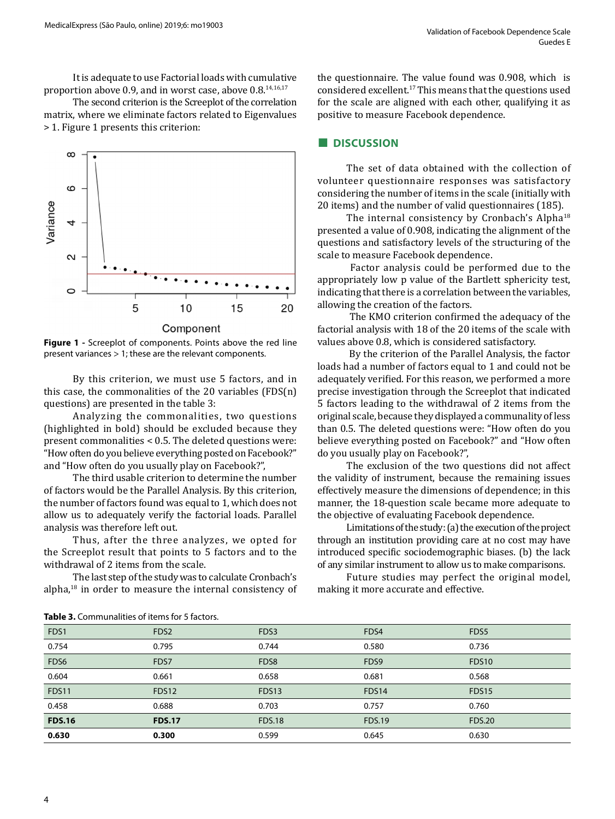It is adequate to use Factorial loads with cumulative proportion above 0.9, and in worst case, above 0.8.14,16,17

The second criterion is the Screeplot of the correlation matrix, where we eliminate factors related to Eigenvalues > 1. Figure 1 presents this criterion:



**Figure 1 -** Screeplot of components. Points above the red line present variances > 1; these are the relevant components.

By this criterion, we must use 5 factors, and in this case, the commonalities of the 20 variables (FDS(n) questions) are presented in the table 3:

Analyzing the commonalities, two questions (highlighted in bold) should be excluded because they present commonalities < 0.5. The deleted questions were: "How often do you believe everything posted on Facebook?" and "How often do you usually play on Facebook?",

The third usable criterion to determine the number of factors would be the Parallel Analysis. By this criterion, the number of factors found was equal to 1, which does not allow us to adequately verify the factorial loads. Parallel analysis was therefore left out.

Thus, after the three analyzes, we opted for the Screeplot result that points to 5 factors and to the withdrawal of 2 items from the scale.

The last step of the study was to calculate Cronbach's alpha,18 in order to measure the internal consistency of the questionnaire. The value found was 0.908, which is considered excellent.<sup>17</sup>This means that the questions used for the scale are aligned with each other, qualifying it as positive to measure Facebook dependence.

# **■ DISCUSSION**

The set of data obtained with the collection of volunteer questionnaire responses was satisfactory considering the number of items in the scale (initially with 20 items) and the number of valid questionnaires (185).

The internal consistency by Cronbach's Alpha<sup>18</sup> presented a value of 0.908, indicating the alignment of the questions and satisfactory levels of the structuring of the scale to measure Facebook dependence.

 Factor analysis could be performed due to the appropriately low p value of the Bartlett sphericity test, indicating that there is a correlation between the variables, allowing the creation of the factors.

 The KMO criterion confirmed the adequacy of the factorial analysis with 18 of the 20 items of the scale with values above 0.8, which is considered satisfactory.

 By the criterion of the Parallel Analysis, the factor loads had a number of factors equal to 1 and could not be adequately verified. For this reason, we performed a more precise investigation through the Screeplot that indicated 5 factors leading to the withdrawal of 2 items from the original scale, because they displayed a communality of less than 0.5. The deleted questions were: "How often do you believe everything posted on Facebook?" and "How often do you usually play on Facebook?",

The exclusion of the two questions did not affect the validity of instrument, because the remaining issues effectively measure the dimensions of dependence; in this manner, the 18-question scale became more adequate to the objective of evaluating Facebook dependence.

Limitations of the study: (a) the execution of the project through an institution providing care at no cost may have introduced specific sociodemographic biases. (b) the lack of any similar instrument to allow us to make comparisons.

Future studies may perfect the original model, making it more accurate and effective.

| FDS1             | FDS <sub>2</sub> | FDS3              | FDS4          | FDS <sub>5</sub> |  |  |  |
|------------------|------------------|-------------------|---------------|------------------|--|--|--|
| 0.754            | 0.795            | 0.744             | 0.580         | 0.736            |  |  |  |
| FDS <sub>6</sub> | FDS7             | FDS <sub>8</sub>  | FDS9          | FDS10            |  |  |  |
| 0.604            | 0.661            | 0.658             | 0.681         | 0.568            |  |  |  |
| FDS11            | FDS12            | FDS <sub>13</sub> | FDS14         | FDS15            |  |  |  |
| 0.458            | 0.688            | 0.703             | 0.757         | 0.760            |  |  |  |
| <b>FDS.16</b>    | <b>FDS.17</b>    | <b>FDS.18</b>     | <b>FDS.19</b> | <b>FDS.20</b>    |  |  |  |
| 0.630            | 0.300            | 0.599             | 0.645         | 0.630            |  |  |  |
|                  |                  |                   |               |                  |  |  |  |

**Table 3.** Communalities of items for 5 factors.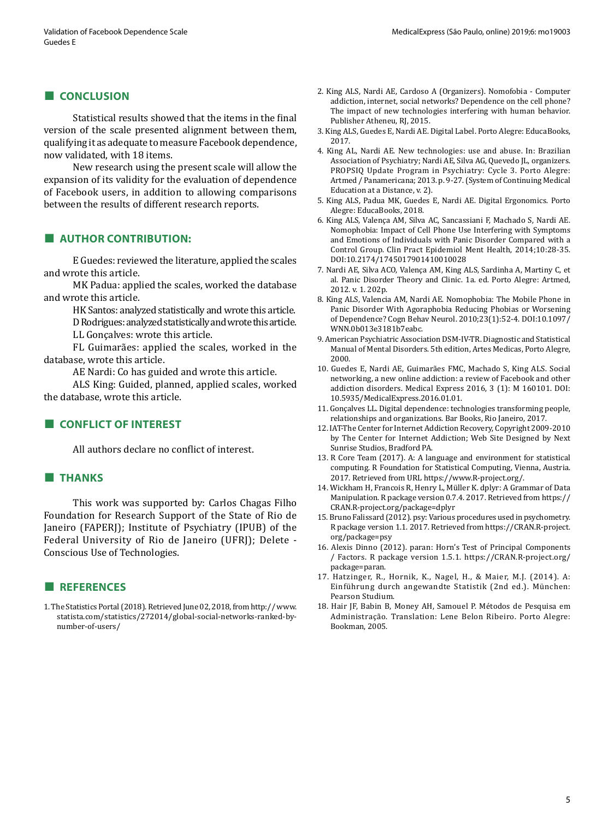#### **■ CONCLUSION**

Statistical results showed that the items in the final version of the scale presented alignment between them, qualifying it as adequate to measure Facebook dependence, now validated, with 18 items.

New research using the present scale will allow the expansion of its validity for the evaluation of dependence of Facebook users, in addition to allowing comparisons between the results of different research reports.

# **■ AUTHOR CONTRIBUTION:**

E Guedes: reviewed the literature, applied the scales and wrote this article.

MK Padua: applied the scales, worked the database and wrote this article.

> HK Santos: analyzed statistically and wrote this article. D Rodrigues: analyzed statistically and wrote this article. LL Gonçalves: wrote this article.

FL Guimarães: applied the scales, worked in the database, wrote this article.

AE Nardi: Co has guided and wrote this article.

ALS King: Guided, planned, applied scales, worked the database, wrote this article.

# **■ CONFLICT OF INTEREST**

All authors declare no conflict of interest.

# **■ THANKS**

This work was supported by: Carlos Chagas Filho Foundation for Research Support of the State of Rio de Janeiro (FAPERJ); Institute of Psychiatry (IPUB) of the Federal University of Rio de Janeiro (UFRJ); Delete - Conscious Use of Technologies.

#### **■ REFERENCES**

1. The Statistics Portal (2018). Retrieved June 02, 2018, from http:// www. statista.com/statistics/272014/global-social-networks-ranked-bynumber-of-users/

- 2. King ALS, Nardi AE, Cardoso A (Organizers). Nomofobia Computer addiction, internet, social networks? Dependence on the cell phone? The impact of new technologies interfering with human behavior. Publisher Atheneu, RJ, 2015.
- 3. King ALS, Guedes E, Nardi AE. Digital Label. Porto Alegre: EducaBooks, 2017.
- 4. King AL, Nardi AE. New technologies: use and abuse. In: Brazilian Association of Psychiatry; Nardi AE, Silva AG, Quevedo JL, organizers. PROPSIQ Update Program in Psychiatry: Cycle 3. Porto Alegre: Artmed / Panamericana; 2013. p. 9-27. (System of Continuing Medical Education at a Distance, v. 2).
- 5. King ALS, Padua MK, Guedes E, Nardi AE. Digital Ergonomics. Porto Alegre: EducaBooks, 2018.
- 6. King ALS, Valença AM, Silva AC, Sancassiani F, Machado S, Nardi AE. Nomophobia: Impact of Cell Phone Use Interfering with Symptoms and Emotions of Individuals with Panic Disorder Compared with a Control Group. Clin Pract Epidemiol Ment Health, 2014;10:28-35. DOI:10.2174/1745017901410010028
- 7. Nardi AE, Silva ACO, Valença AM, King ALS, Sardinha A, Martiny C, et al. Panic Disorder Theory and Clinic. 1a. ed. Porto Alegre: Artmed, 2012. v. 1. 202p.
- 8. King ALS, Valencia AM, Nardi AE. Nomophobia: The Mobile Phone in Panic Disorder With Agoraphobia Reducing Phobias or Worsening of Dependence? Cogn Behav Neurol. 2010;23(1):52-4. DOI:10.1097/ WNN.0b013e3181b7eabc.
- 9. American Psychiatric Association DSM-IV-TR. Diagnostic and Statistical Manual of Mental Disorders. 5th edition, Artes Medicas, Porto Alegre, 2000.
- 10. Guedes E, Nardi AE, Guimarães FMC, Machado S, King ALS. Social networking, a new online addiction: a review of Facebook and other addiction disorders. Medical Express 2016, 3 (1): M 160101. DOI: 10.5935/MedicalExpress.2016.01.01.
- 11. Gonçalves LL. Digital dependence: technologies transforming people, relationships and organizations. Bar Books, Rio Janeiro, 2017.
- 12. IAT-The Center for Internet Addiction Recovery, Copyright 2009-2010 by The Center for Internet Addiction; Web Site Designed by Next Sunrise Studios, Bradford PA.
- 13. R Core Team (2017). A: A language and environment for statistical computing. R Foundation for Statistical Computing, Vienna, Austria. 2017. Retrieved from URL https://www.R-project.org/.
- 14. Wickham H, Francois R, Henry L, Müller K. dplyr: A Grammar of Data Manipulation. R package version 0.7.4. 2017. Retrieved from https:// CRAN.R-project.org/package=dplyr
- 15. Bruno Falissard (2012). psy: Various procedures used in psychometry. R package version 1.1. 2017. Retrieved from https://CRAN.R-project. org/package=psy
- 16. Alexis Dinno (2012). paran: Horn's Test of Principal Components / Factors. R package version 1.5.1. https://CRAN.R-project.org/ package=paran.
- 17. Hatzinger, R., Hornik, K., Nagel, H., & Maier, M.J. (2014). A: Einführung durch angewandte Statistik (2nd ed.). München: Pearson Studium.
- 18. Hair JF, Babin B, Money AH, Samouel P. Métodos de Pesquisa em Administração. Translation: Lene Belon Ribeiro. Porto Alegre: Bookman, 2005.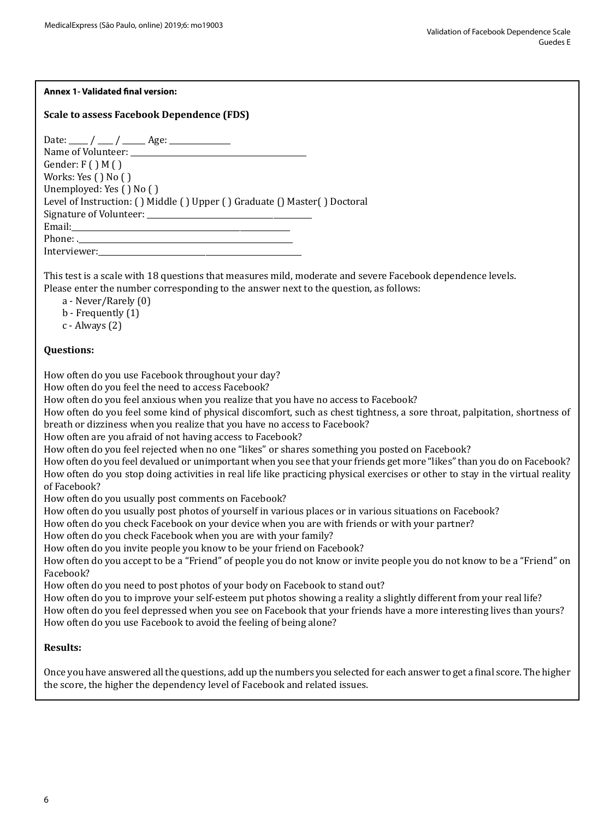# **Annex 1- Validated final version:**

# **Scale to assess Facebook Dependence (FDS)**

| Date: ____ / ___ / ____ Age: ____________                                 |
|---------------------------------------------------------------------------|
|                                                                           |
| Gender: $F()M()$                                                          |
| Works: Yes $( )$ No $( )$                                                 |
| Unemployed: Yes () No ()                                                  |
| Level of Instruction: () Middle () Upper () Graduate () Master() Doctoral |
|                                                                           |
|                                                                           |
|                                                                           |
| Interviewer:                                                              |
|                                                                           |

This test is a scale with 18 questions that measures mild, moderate and severe Facebook dependence levels. Please enter the number corresponding to the answer next to the question, as follows:

a - Never/Rarely (0)

b - Frequently (1)

c - Always (2)

### **Questions:**

How often do you use Facebook throughout your day?

How often do you feel the need to access Facebook?

How often do you feel anxious when you realize that you have no access to Facebook?

How often do you feel some kind of physical discomfort, such as chest tightness, a sore throat, palpitation, shortness of breath or dizziness when you realize that you have no access to Facebook?

How often are you afraid of not having access to Facebook?

How often do you feel rejected when no one "likes" or shares something you posted on Facebook?

How often do you feel devalued or unimportant when you see that your friends get more "likes" than you do on Facebook? How often do you stop doing activities in real life like practicing physical exercises or other to stay in the virtual reality of Facebook?

How often do you usually post comments on Facebook?

How often do you usually post photos of yourself in various places or in various situations on Facebook?

How often do you check Facebook on your device when you are with friends or with your partner?

How often do you check Facebook when you are with your family?

How often do you invite people you know to be your friend on Facebook?

How often do you accept to be a "Friend" of people you do not know or invite people you do not know to be a "Friend" on Facebook?

How often do you need to post photos of your body on Facebook to stand out?

How often do you to improve your self-esteem put photos showing a reality a slightly different from your real life? How often do you feel depressed when you see on Facebook that your friends have a more interesting lives than yours?

How often do you use Facebook to avoid the feeling of being alone?

# **Results:**

Once you have answered all the questions, add up the numbers you selected for each answer to get a final score. The higher the score, the higher the dependency level of Facebook and related issues.